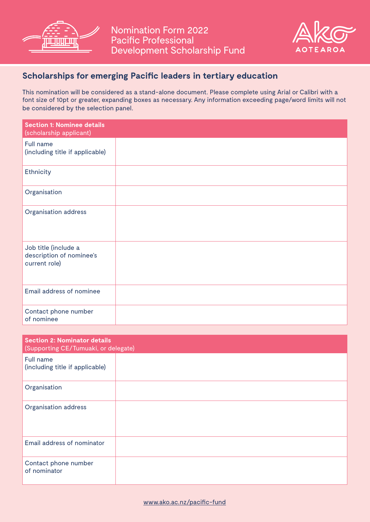



# **Scholarships for emerging Pacific leaders in tertiary education**

This nomination will be considered as a stand-alone document. Please complete using Arial or Calibri with a font size of 10pt or greater, expanding boxes as necessary. Any information exceeding page/word limits will not be considered by the selection panel.

| <b>Section 1: Nominee details</b><br>(scholarship applicant)      |  |
|-------------------------------------------------------------------|--|
| Full name<br>(including title if applicable)                      |  |
| Ethnicity                                                         |  |
| Organisation                                                      |  |
| <b>Organisation address</b>                                       |  |
| Job title (include a<br>description of nominee's<br>current role) |  |
| Email address of nominee                                          |  |
| Contact phone number<br>of nominee                                |  |

| <b>Section 2: Nominator details</b><br>(Supporting CE/Tumuaki, or delegate) |  |  |
|-----------------------------------------------------------------------------|--|--|
| Full name<br>(including title if applicable)                                |  |  |
| Organisation                                                                |  |  |
| <b>Organisation address</b>                                                 |  |  |
| Email address of nominator                                                  |  |  |
| Contact phone number<br>of nominator                                        |  |  |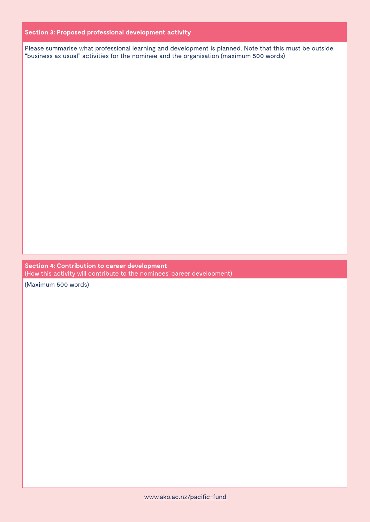## **Section 3: Proposed professional development activity**

Please summarise what professional learning and development is planned. Note that this must be outside "business as usual" activities for the nominee and the organisation (maximum 500 words)

**Section 4: Contribution to career development** (How this activity will contribute to the nominees' career development)

(Maximum 500 words)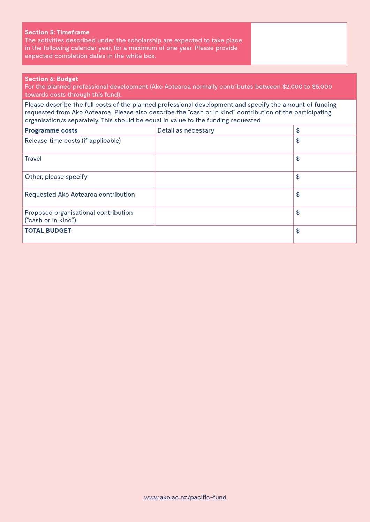## **Section 5: Timeframe**

The activities described under the scholarship are expected to take place in the following calendar year, for a maximum of one year. Please provide expected completion dates in the white box.

### **Section 6: Budget**

For the planned professional development (Ako Aotearoa normally contributes between \$2,000 to \$5,000 towards costs through this fund).

Please describe the full costs of the planned professional development and specify the amount of funding requested from Ako Aotearoa. Please also describe the "cash or in kind" contribution of the participating organisation/s separately. This should be equal in value to the funding requested.

| <b>Programme costs</b>                                      | Detail as necessary | \$ |
|-------------------------------------------------------------|---------------------|----|
| Release time costs (if applicable)                          |                     | \$ |
| <b>Travel</b>                                               |                     | \$ |
| Other, please specify                                       |                     | \$ |
| Requested Ako Aotearoa contribution                         |                     | \$ |
| Proposed organisational contribution<br>("cash or in kind") |                     | \$ |
| <b>TOTAL BUDGET</b>                                         |                     | \$ |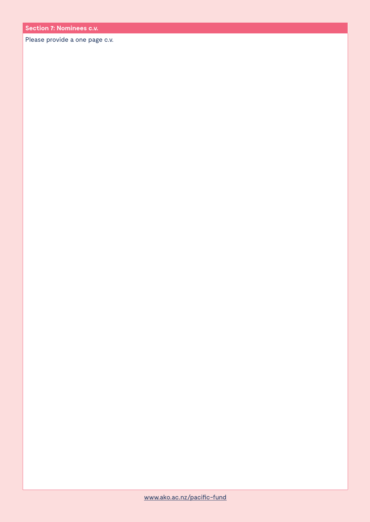Please provide a one page c.v.